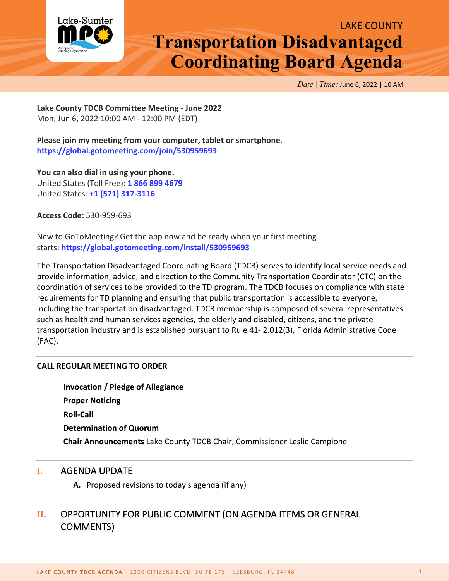

*Date | Time:* June 6, 2022 | 10 AM

**Lake County TDCB Committee Meeting - June 2022** Mon, Jun 6, 2022 10:00 AM - 12:00 PM (EDT)

**Please join my meeting from your computer, tablet or smartphone. <https://global.gotomeeting.com/join/530959693>**

**You can also dial in using your phone.** United States (Toll Free): **[1 866 899 4679](tel:+18668994679,,530959693)** United States: **[+1 \(571\) 317-3116](tel:+15713173116,,530959693)**

**Access Code:** 530-959-693

New to GoToMeeting? Get the app now and be ready when your first meeting starts: **<https://global.gotomeeting.com/install/530959693>**

The Transportation Disadvantaged Coordinating Board (TDCB) serves to identify local service needs and provide information, advice, and direction to the Community Transportation Coordinator (CTC) on the coordination of services to be provided to the TD program. The TDCB focuses on compliance with state requirements for TD planning and ensuring that public transportation is accessible to everyone, including the transportation disadvantaged. TDCB membership is composed of several representatives such as health and human services agencies, the elderly and disabled, citizens, and the private transportation industry and is established pursuant to Rule 41- 2.012(3), Florida Administrative Code (FAC).

#### **CALL REGULAR MEETING TO ORDER**

**Invocation / Pledge of Allegiance Proper Noticing Roll-Call Determination of Quorum Chair Announcements** Lake County TDCB Chair, Commissioner Leslie Campione

#### **I.** AGENDA UPDATE

**A.** Proposed revisions to today's agenda (if any)

## **II.** OPPORTUNITY FOR PUBLIC COMMENT (ON AGENDA ITEMS OR GENERAL COMMENTS)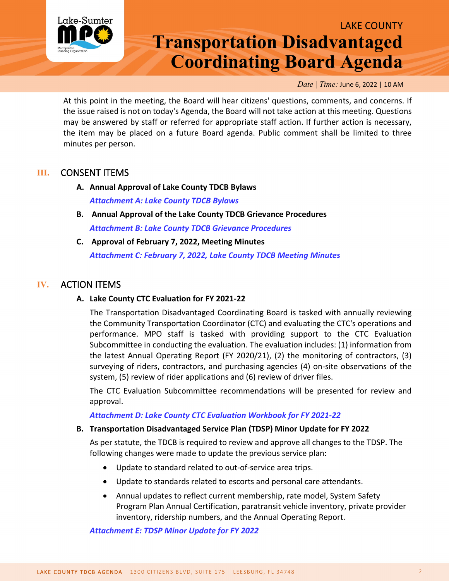

*Date | Time:* June 6, 2022 | 10 AM

At this point in the meeting, the Board will hear citizens' questions, comments, and concerns. If the issue raised is not on today's Agenda, the Board will not take action at this meeting. Questions may be answered by staff or referred for appropriate staff action. If further action is necessary, the item may be placed on a future Board agenda. Public comment shall be limited to three minutes per person.

## **III.** CONSENT ITEMS

- **A. Annual Approval of Lake County TDCB Bylaws** *Attachment A: [Lake County TDCB Bylaws](http://www.lakesumtermpo.com/media/stflqz2u/lake-county-bylaws-final-06-08-2020.pdf)*
- **B. Annual Approval of the Lake County TDCB Grievance Procedures**  *[Attachment B: Lake County TDCB Grievance Procedures](http://www.lakesumtermpo.com/media/kv4eh50m/grievance-procedures-trans-dis-coord-board-signed.pdf)*
- **C. Approval of February 7, 2022, Meeting Minutes** *Attachment C: February 7, 2022, [Lake County TDCB Meeting Minutes](http://www.lakesumtermpo.com/media/wihlbgcw/c-lake-county-tdcb-february-7-2022-minutes.pdf)*

## **IV.** ACTION ITEMS

#### **A. Lake County CTC Evaluation for FY 2021-22**

The Transportation Disadvantaged Coordinating Board is tasked with annually reviewing the Community Transportation Coordinator (CTC) and evaluating the CTC's operations and performance. MPO staff is tasked with providing support to the CTC Evaluation Subcommittee in conducting the evaluation. The evaluation includes: (1) information from the latest Annual Operating Report (FY 2020/21), (2) the monitoring of contractors, (3) surveying of riders, contractors, and purchasing agencies (4) on-site observations of the system, (5) review of rider applications and (6) review of driver files.

The CTC Evaluation Subcommittee recommendations will be presented for review and approval.

#### *[Attachment D: Lake County CTC Evaluation Workbook for FY 2021-22](http://www.lakesumtermpo.com/media/uqsd2ka4/d-lake-county-ctc-evaluation-fy21-22.pdf)*

#### **B. Transportation Disadvantaged Service Plan (TDSP) Minor Update for FY 2022**

As per statute, the TDCB is required to review and approve all changes to the TDSP. The following changes were made to update the previous service plan:

- Update to standard related to out-of-service area trips.
- Update to standards related to escorts and personal care attendants.
- Annual updates to reflect current membership, rate model, System Safety Program Plan Annual Certification, paratransit vehicle inventory, private provider inventory, ridership numbers, and the Annual Operating Report.

*Attachment E: TDSP [Minor Update for FY 2022](http://www.lakesumtermpo.com/media/uyydrdxi/e-lake-tdsp-2022-minor-update-track-changes_final.pdf)*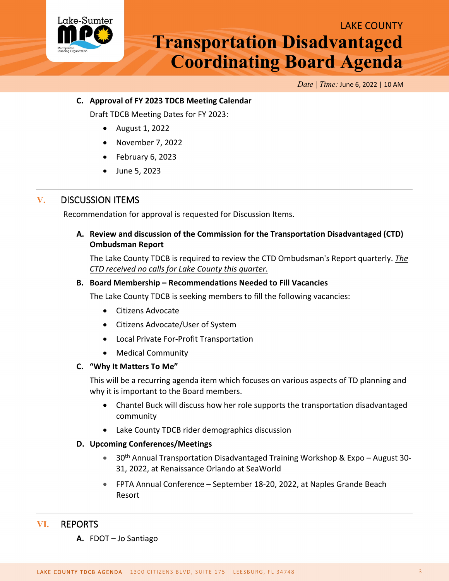

*Date | Time:* June 6, 2022 | 10 AM

#### **C. Approval of FY 2023 TDCB Meeting Calendar**

Draft TDCB Meeting Dates for FY 2023:

- August 1, 2022
- November 7, 2022
- February 6, 2023
- June 5, 2023

### **V.** DISCUSSION ITEMS

Recommendation for approval is requested for Discussion Items.

#### **A. Review and discussion of the Commission for the Transportation Disadvantaged (CTD) Ombudsman Report**

The Lake County TDCB is required to review the CTD Ombudsman's Report quarterly. *The CTD received no calls for Lake County this quarter*.

#### **B. Board Membership – Recommendations Needed to Fill Vacancies**

The Lake County TDCB is seeking members to fill the following vacancies:

- Citizens Advocate
- Citizens Advocate/User of System
- Local Private For-Profit Transportation
- Medical Community

#### **C. "Why It Matters To Me"**

This will be a recurring agenda item which focuses on various aspects of TD planning and why it is important to the Board members.

- Chantel Buck will discuss how her role supports the transportation disadvantaged community
- Lake County TDCB rider demographics discussion

#### **D. Upcoming Conferences/Meetings**

- 30<sup>th</sup> Annual Transportation Disadvantaged Training Workshop & Expo August 30-31, 2022, at Renaissance Orlando at SeaWorld
- FPTA Annual Conference September 18-20, 2022, at Naples Grande Beach Resort

### **VI.** REPORTS

**A.** FDOT – Jo Santiago